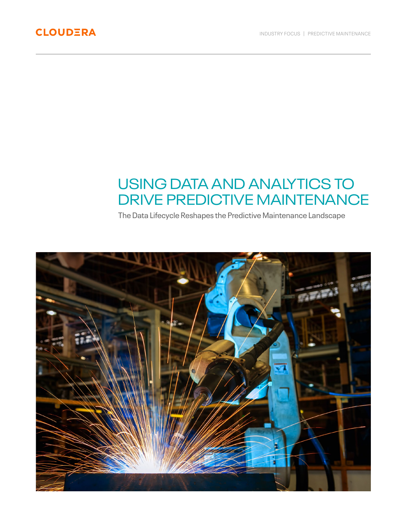# USING DATA AND ANALYTICS TO DRIVE PREDICTIVE MAINTENANCE

The Data Lifecycle Reshapes the Predictive Maintenance Landscape

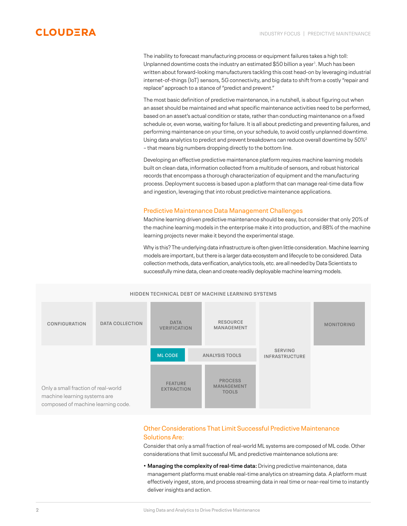

The inability to forecast manufacturing process or equipment failures takes a high toll: Unplanned downtime costs the industry an estimated \$50 billion a year<sup>1</sup>. Much has been written about forward-looking manufacturers tackling this cost head-on by leveraging industrial internet-of-things (IoT) sensors, 5G connectivity, and big data to shift from a costly "repair and replace" approach to a stance of "predict and prevent."

The most basic definition of predictive maintenance, in a nutshell, is about figuring out when an asset should be maintained and what specific maintenance activities need to be performed, based on an asset's actual condition or state, rather than conducting maintenance on a fixed schedule or, even worse, waiting for failure. It is all about predicting and preventing failures, and performing maintenance on your time, on your schedule, to avoid costly unplanned downtime. Using data analytics to predict and prevent breakdowns can reduce overall downtime by  $50\%^2$ – that means big numbers dropping directly to the bottom line.

Developing an effective predictive maintenance platform requires machine learning models built on clean data, information collected from a multitude of sensors, and robust historical records that encompass a thorough characterization of equipment and the manufacturing process. Deployment success is based upon a platform that can manage real-time data flow and ingestion, leveraging that into robust predictive maintenance applications.

## Predictive Maintenance Data Management Challenges

Machine learning driven predictive maintenance should be easy, but consider that only 20% of the machine learning models in the enterprise make it into production, and 88% of the machine learning projects never make it beyond the experimental stage.

Why is this? The underlying data infrastructure is often given little consideration. Machine learning models are important, but there is a larger data ecosystem and lifecycle to be considered. Data collection methods, data verification, analytics tools, etc. are all needed by Data Scientists to successfully mine data, clean and create readily deployable machine learning models.



## Other Considerations That Limit Successful Predictive Maintenance Solutions Are:

Consider that only a small fraction of real-world ML systems are composed of ML code. Other considerations that limit successful ML and predictive maintenance solutions are:

**• Managing the complexity of real-time data:** Driving predictive maintenance, data management platforms must enable real-time analytics on streaming data. A platform must effectively ingest, store, and process streaming data in real time or near-real time to instantly deliver insights and action.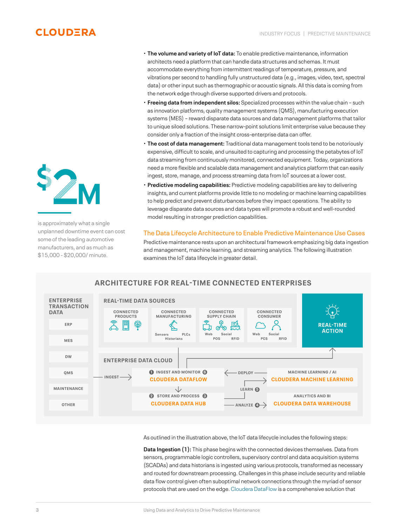## **CLOUDERA**



is approximately what a single unplanned downtime event can cost some of the leading automotive manufacturers, and as much as \$15,000 - \$20,000/ minute.

- **The volume and variety of IoT data:** To enable predictive maintenance, information architects need a platform that can handle data structures and schemas. It must accommodate everything from intermittent readings of temperature, pressure, and vibrations per second to handling fully unstructured data (e.g., images, video, text, spectral data) or other input such as thermographic or acoustic signals. All this data is coming from the network edge through diverse supported drivers and protocols.
- **Freeing data from independent silos:** Specialized processes within the value chain such as innovation platforms, quality management systems (QMS), manufacturing execution systems (MES) – reward disparate data sources and data management platforms that tailor to unique siloed solutions. These narrow-point solutions limit enterprise value because they consider only a fraction of the insight cross-enterprise data can offer.
- **The cost of data management:** Traditional data management tools tend to be notoriously expensive, difficult to scale, and unsuited to capturing and processing the petabytes of IoT data streaming from continuously monitored, connected equipment. Today, organizations need a more flexible and scalable data management and analytics platform that can easily ingest, store, manage, and process streaming data from IoT sources at a lower cost.
- **Predictive modeling capabilities:** Predictive modeling capabilities are key to delivering insights, and current platforms provide little to no modeling or machine learning capabilities to help predict and prevent disturbances before they impact operations. The ability to leverage disparate data sources and data types will promote a robust and well-rounded model resulting in stronger prediction capabilities.

## The Data Lifecycle Architecture to Enable Predictive Maintenance Use Cases Predictive maintenance rests upon an architectural framework emphasizing big data ingestion and management, machine learning, and streaming analytics. The following illustration examines the IoT data lifecycle in greater detail.



## **ARCHITECTURE FOR REAL-TIME CONNECTED ENTERPRISES**

As outlined in the illustration above, the IoT data lifecycle includes the following steps:

**Data Ingestion (1):** This phase begins with the connected devices themselves. Data from sensors, programmable logic controllers, supervisory control and data acquisition systems (SCADAs) and data historians is ingested using various protocols, transformed as necessary and routed for downstream processing. Challenges in this phase include security and reliable data flow control given often suboptimal network connections through the myriad of sensor protocols that are used on the edge. [Cloudera DataFlow](https://www.cloudera.com/products/cdf.html) is a comprehensive solution that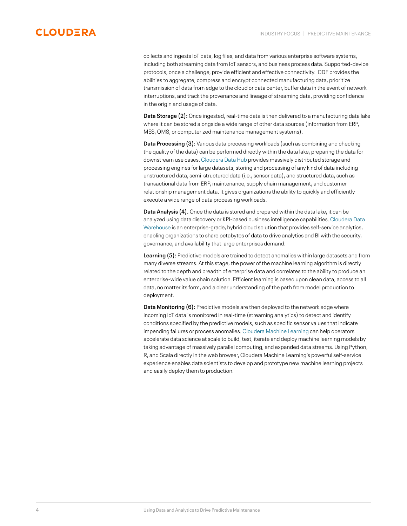## **CLOUDERA**

collects and ingests IoT data, log files, and data from various enterprise software systems, including both streaming data from IoT sensors, and business process data. Supported-device protocols, once a challenge, provide efficient and effective connectivity. CDF provides the abilities to aggregate, compress and encrypt connected manufacturing data, prioritize transmission of data from edge to the cloud or data center, buffer data in the event of network interruptions, and track the provenance and lineage of streaming data, providing confidence in the origin and usage of data.

**Data Storage (2):** Once ingested, real-time data is then delivered to a manufacturing data lake where it can be stored alongside a wide range of other data sources (information from ERP, MES, QMS, or computerized maintenance management systems).

**Data Processing (3):** Various data processing workloads (such as combining and checking the quality of the data) can be performed directly within the data lake, preparing the data for downstream use cases. [Cloudera Data Hub](https://www.cloudera.com/products/data-hub.html) provides massively distributed storage and processing engines for large datasets, storing and processing of any kind of data including unstructured data, semi-structured data (i.e., sensor data), and structured data, such as transactional data from ERP, maintenance, supply chain management, and customer relationship management data. It gives organizations the ability to quickly and efficiently execute a wide range of data processing workloads.

**Data Analysis (4).** Once the data is stored and prepared within the data lake, it can be analyzed using data discovery or KPI-based business intelligence capabilities. [Cloudera Data](https://www.cloudera.com/products/data-warehouse.html)  [Warehouse i](https://www.cloudera.com/products/data-warehouse.html)s an enterprise-grade, hybrid cloud solution that provides self-service analytics, enabling organizations to share petabytes of data to drive analytics and BI with the security, governance, and availability that large enterprises demand.

**Learning (5):** Predictive models are trained to detect anomalies within large datasets and from many diverse streams. At this stage, the power of the machine learning algorithm is directly related to the depth and breadth of enterprise data and correlates to the ability to produce an enterprise-wide value chain solution. Efficient learning is based upon clean data, access to all data, no matter its form, and a clear understanding of the path from model production to deployment.

**Data Monitoring (6):** Predictive models are then deployed to the network edge where incoming IoT data is monitored in real-time (streaming analytics) to detect and identify conditions specified by the predictive models, such as specific sensor values that indicate impending failures or process anomalies. [Cloudera Machine Learning](https://www.cloudera.com/products/machine-learning.html) can help operators accelerate data science at scale to build, test, iterate and deploy machine learning models by taking advantage of massively parallel computing, and expanded data streams. Using Python, R, and Scala directly in the web browser, Cloudera Machine Learning's powerful self-service experience enables data scientists to develop and prototype new machine learning projects and easily deploy them to production.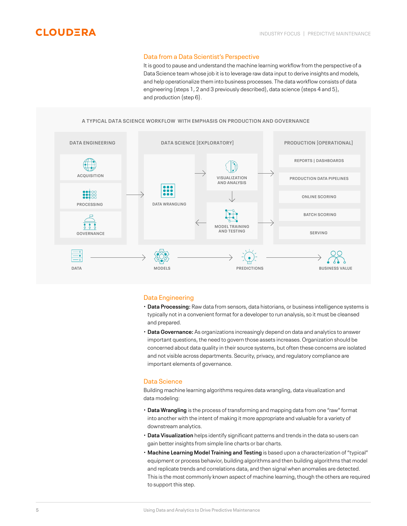### Data from a Data Scientist's Perspective

It is good to pause and understand the machine learning workflow from the perspective of a Data Science team whose job it is to leverage raw data input to derive insights and models, and help operationalize them into business processes. The data workflow consists of data engineering (steps 1, 2 and 3 previously described), data science (steps 4 and 5), and production (step 6).

### **A TYPICAL DATA SCIENCE WORKFLOW WITH EMPHASIS ON PRODUCTION AND GOVERNANCE**



## Data Engineering

- **Data Processing:** Raw data from sensors, data historians, or business intelligence systems is typically not in a convenient format for a developer to run analysis, so it must be cleansed and prepared.
- **Data Governance:** As organizations increasingly depend on data and analytics to answer important questions, the need to govern those assets increases. Organization should be concerned about data quality in their source systems, but often these concerns are isolated and not visible across departments. Security, privacy, and regulatory compliance are important elements of governance.

## Data Science

Building machine learning algorithms requires data wrangling, data visualization and data modeling:

- **Data Wrangling** is the process of transforming and mapping data from one "raw" format into another with the intent of making it more appropriate and valuable for a variety of downstream analytics.
- **Data Visualization** helps identify significant patterns and trends in the data so users can gain better insights from simple line charts or bar charts.
- **Machine Learning Model Training and Testing** is based upon a characterization of "typical" equipment or process behavior, building algorithms and then building algorithms that model and replicate trends and correlations data, and then signal when anomalies are detected. This is the most commonly known aspect of machine learning, though the others are required to support this step.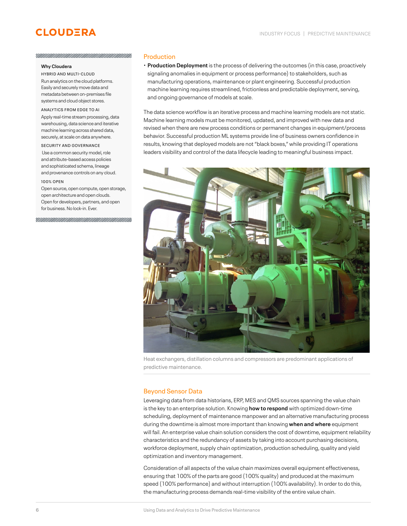## **CLOUDERA**

#### УНИНИНИНИНИНИНИНИНИНИНИНИН

#### **Why Cloudera**

HYBRID AND MULTI-CLOUD Run analytics on the cloud platforms. Easily and securely move data and metadata between on-premises file systems and cloud object stores.

#### ANALYTICS FROM EDGE TO AI

Apply real-time stream processing, data warehousing, data science and iterative machine learning across shared data, securely, at scale on data anywhere.

#### SECURITY AND GOVERNANCE

 Use a common security model, role and attribute-based access policies and sophisticated schema, lineage and provenance controls on any cloud.

#### 100% OPEN

Open source, open compute, open storage, open architecture and open clouds. Open for developers, partners, and open for business. No lock-in. Ever.

#### Production

• **Production Deployment** is the process of delivering the outcomes (in this case, proactively signaling anomalies in equipment or process performance) to stakeholders, such as manufacturing operations, maintenance or plant engineering. Successful production machine learning requires streamlined, frictionless and predictable deployment, serving, and ongoing governance of models at scale.

The data science workflow is an iterative process and machine learning models are not static. Machine learning models must be monitored, updated, and improved with new data and revised when there are new process conditions or permanent changes in equipment/process behavior. Successful production ML systems provide line of business owners confidence in results, knowing that deployed models are not "black boxes," while providing IT operations leaders visibility and control of the data lifecycle leading to meaningful business impact.



Heat exchangers, distillation columns and compressors are predominant applications of predictive maintenance.

## Beyond Sensor Data

Leveraging data from data historians, ERP, MES and QMS sources spanning the value chain is the key to an enterprise solution. Knowing **how to respond** with optimized down-time scheduling, deployment of maintenance manpower and an alternative manufacturing process during the downtime is almost more important than knowing **when and where** equipment will fail. An enterprise value chain solution considers the cost of downtime, equipment reliability characteristics and the redundancy of assets by taking into account purchasing decisions, workforce deployment, supply chain optimization, production scheduling, quality and yield optimization and inventory management.

Consideration of all aspects of the value chain maximizes overall equipment effectiveness, ensuring that 100% of the parts are good (100% quality) and produced at the maximum speed (100% performance) and without interruption (100% availability). In order to do this, the manufacturing process demands real-time visibility of the entire value chain.